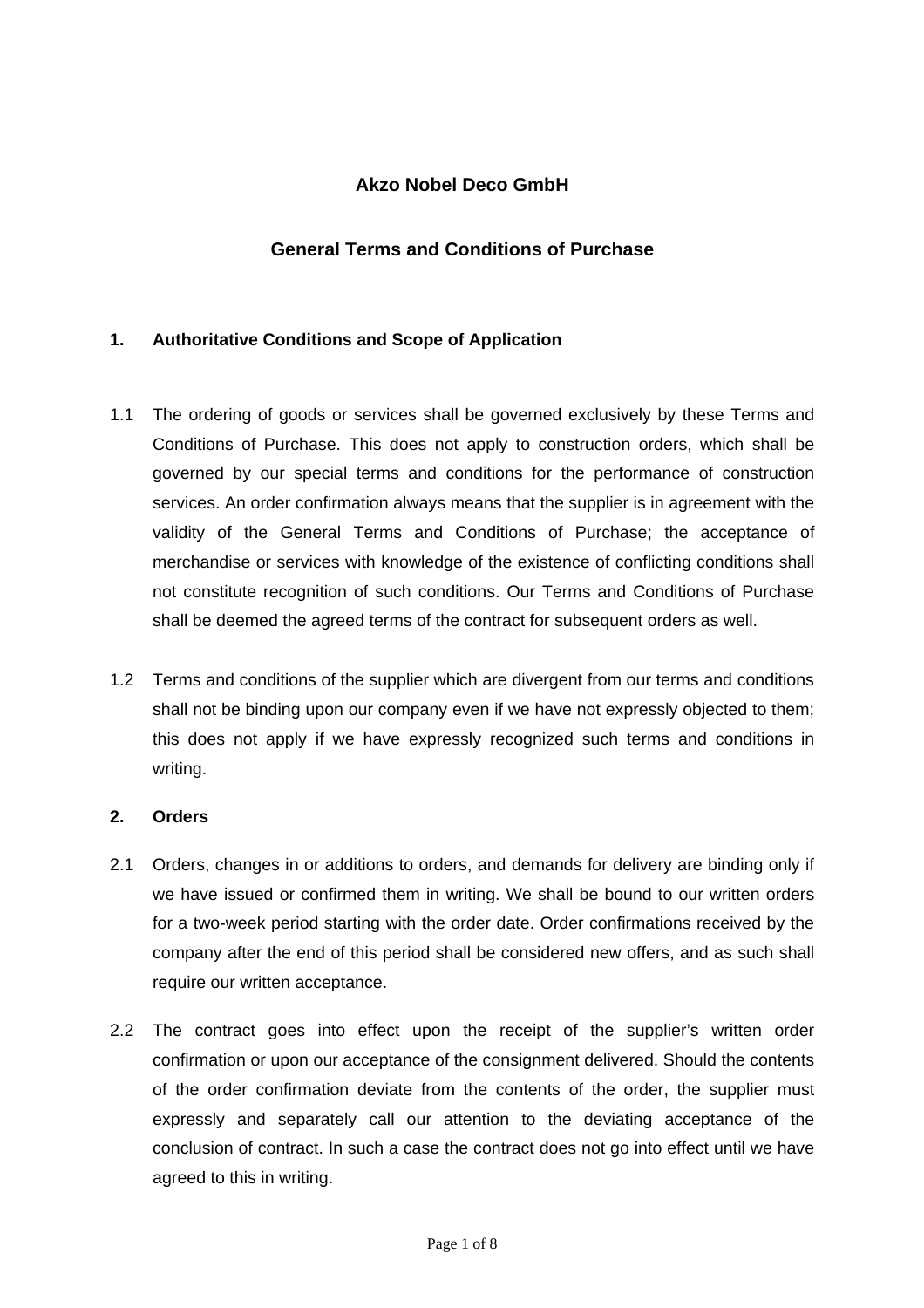# **Akzo Nobel Deco GmbH**

# **General Terms and Conditions of Purchase**

### **1. Authoritative Conditions and Scope of Application**

- 1.1 The ordering of goods or services shall be governed exclusively by these Terms and Conditions of Purchase. This does not apply to construction orders, which shall be governed by our special terms and conditions for the performance of construction services. An order confirmation always means that the supplier is in agreement with the validity of the General Terms and Conditions of Purchase; the acceptance of merchandise or services with knowledge of the existence of conflicting conditions shall not constitute recognition of such conditions. Our Terms and Conditions of Purchase shall be deemed the agreed terms of the contract for subsequent orders as well.
- 1.2 Terms and conditions of the supplier which are divergent from our terms and conditions shall not be binding upon our company even if we have not expressly objected to them; this does not apply if we have expressly recognized such terms and conditions in writing.

#### **2. Orders**

- 2.1 Orders, changes in or additions to orders, and demands for delivery are binding only if we have issued or confirmed them in writing. We shall be bound to our written orders for a two-week period starting with the order date. Order confirmations received by the company after the end of this period shall be considered new offers, and as such shall require our written acceptance.
- 2.2 The contract goes into effect upon the receipt of the supplier's written order confirmation or upon our acceptance of the consignment delivered. Should the contents of the order confirmation deviate from the contents of the order, the supplier must expressly and separately call our attention to the deviating acceptance of the conclusion of contract. In such a case the contract does not go into effect until we have agreed to this in writing.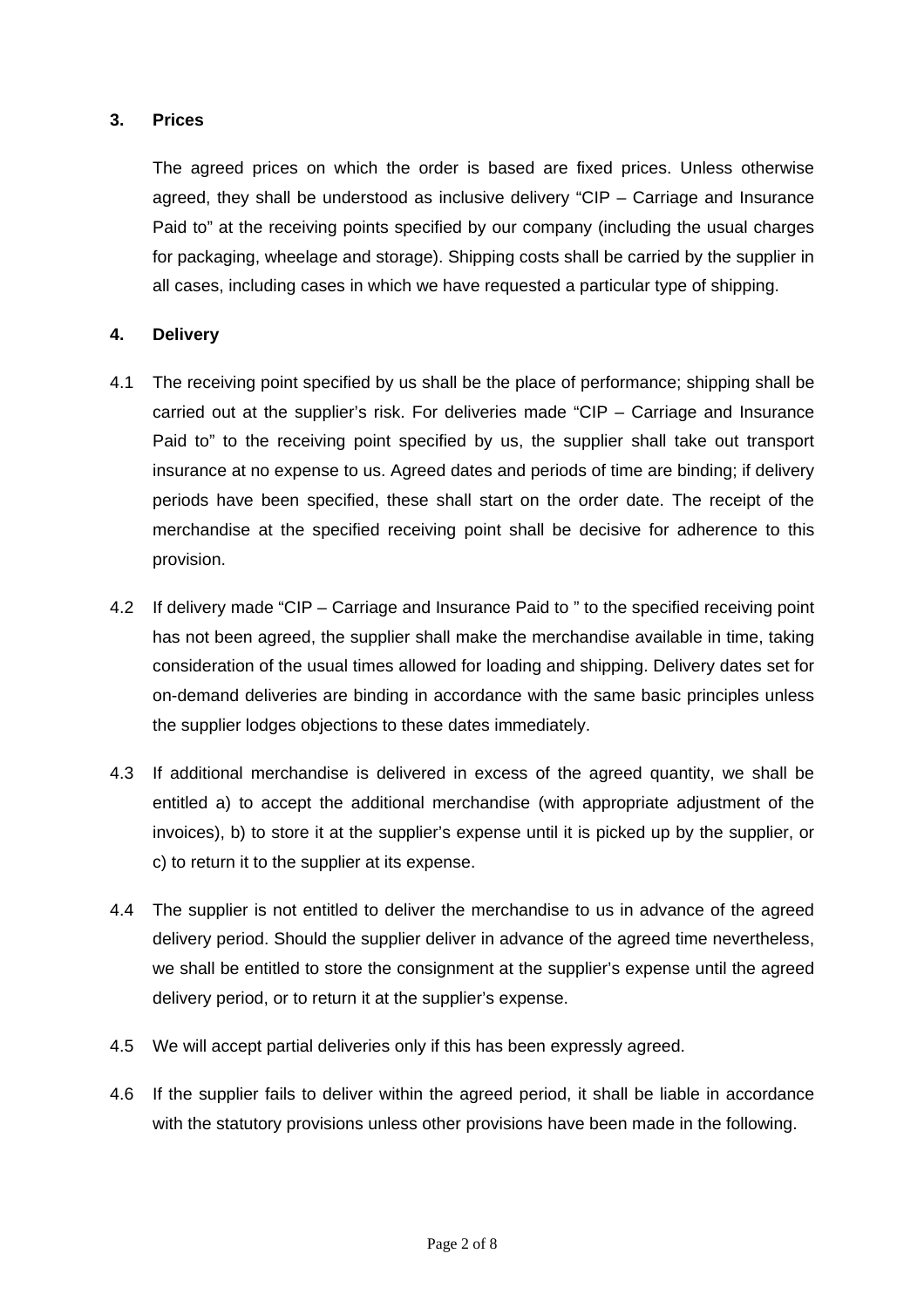### **3. Prices**

 The agreed prices on which the order is based are fixed prices. Unless otherwise agreed, they shall be understood as inclusive delivery "CIP – Carriage and Insurance Paid to" at the receiving points specified by our company (including the usual charges for packaging, wheelage and storage). Shipping costs shall be carried by the supplier in all cases, including cases in which we have requested a particular type of shipping.

### **4. Delivery**

- 4.1 The receiving point specified by us shall be the place of performance; shipping shall be carried out at the supplier's risk. For deliveries made "CIP – Carriage and Insurance Paid to" to the receiving point specified by us, the supplier shall take out transport insurance at no expense to us. Agreed dates and periods of time are binding; if delivery periods have been specified, these shall start on the order date. The receipt of the merchandise at the specified receiving point shall be decisive for adherence to this provision.
- 4.2 If delivery made "CIP Carriage and Insurance Paid to " to the specified receiving point has not been agreed, the supplier shall make the merchandise available in time, taking consideration of the usual times allowed for loading and shipping. Delivery dates set for on-demand deliveries are binding in accordance with the same basic principles unless the supplier lodges objections to these dates immediately.
- 4.3 If additional merchandise is delivered in excess of the agreed quantity, we shall be entitled a) to accept the additional merchandise (with appropriate adjustment of the invoices), b) to store it at the supplier's expense until it is picked up by the supplier, or c) to return it to the supplier at its expense.
- 4.4 The supplier is not entitled to deliver the merchandise to us in advance of the agreed delivery period. Should the supplier deliver in advance of the agreed time nevertheless, we shall be entitled to store the consignment at the supplier's expense until the agreed delivery period, or to return it at the supplier's expense.
- 4.5 We will accept partial deliveries only if this has been expressly agreed.
- 4.6 If the supplier fails to deliver within the agreed period, it shall be liable in accordance with the statutory provisions unless other provisions have been made in the following.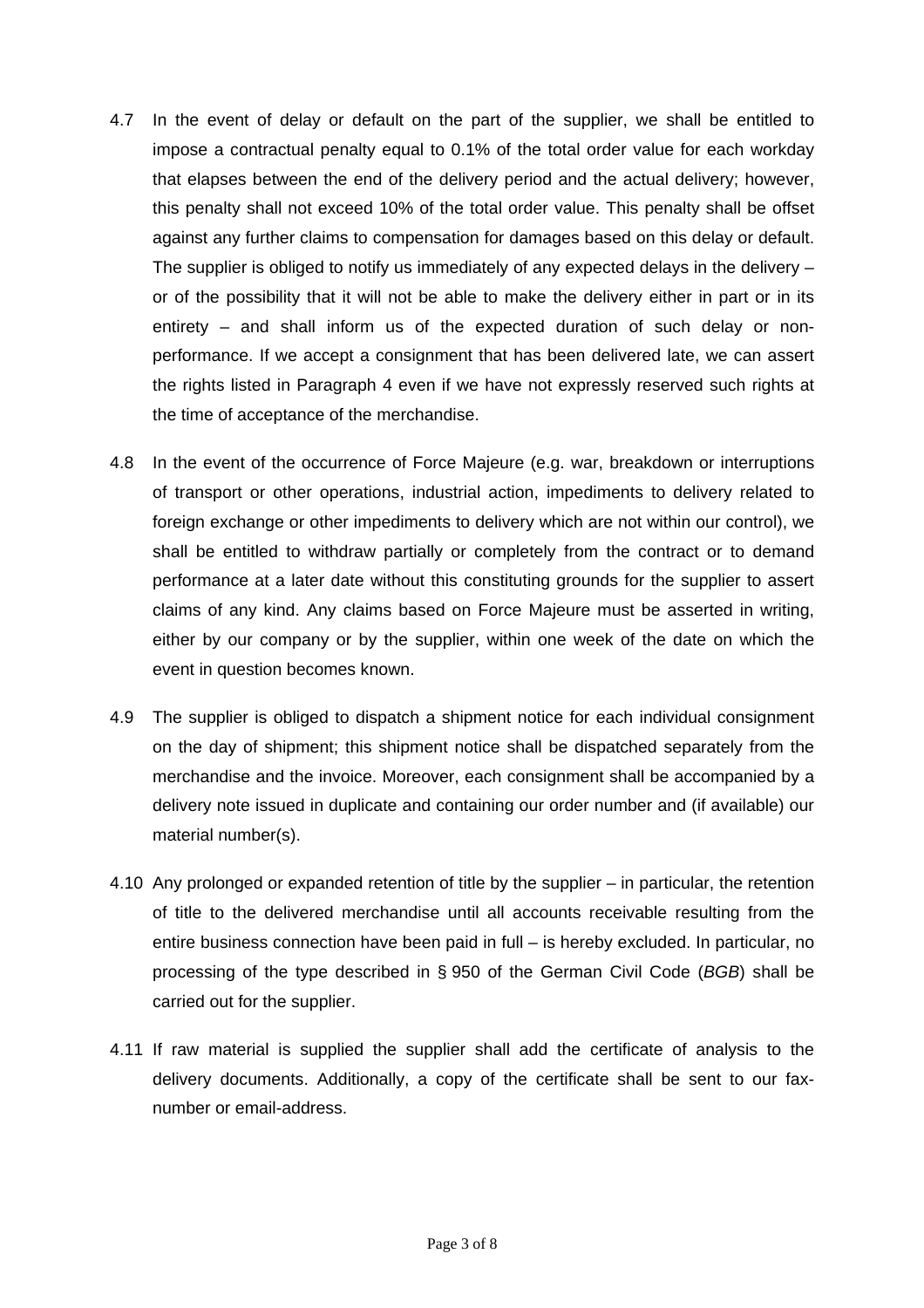- 4.7 In the event of delay or default on the part of the supplier, we shall be entitled to impose a contractual penalty equal to 0.1% of the total order value for each workday that elapses between the end of the delivery period and the actual delivery; however, this penalty shall not exceed 10% of the total order value. This penalty shall be offset against any further claims to compensation for damages based on this delay or default. The supplier is obliged to notify us immediately of any expected delays in the delivery – or of the possibility that it will not be able to make the delivery either in part or in its entirety – and shall inform us of the expected duration of such delay or nonperformance. If we accept a consignment that has been delivered late, we can assert the rights listed in Paragraph 4 even if we have not expressly reserved such rights at the time of acceptance of the merchandise.
- 4.8 In the event of the occurrence of Force Majeure (e.g. war, breakdown or interruptions of transport or other operations, industrial action, impediments to delivery related to foreign exchange or other impediments to delivery which are not within our control), we shall be entitled to withdraw partially or completely from the contract or to demand performance at a later date without this constituting grounds for the supplier to assert claims of any kind. Any claims based on Force Majeure must be asserted in writing, either by our company or by the supplier, within one week of the date on which the event in question becomes known.
- 4.9 The supplier is obliged to dispatch a shipment notice for each individual consignment on the day of shipment; this shipment notice shall be dispatched separately from the merchandise and the invoice. Moreover, each consignment shall be accompanied by a delivery note issued in duplicate and containing our order number and (if available) our material number(s).
- 4.10 Any prolonged or expanded retention of title by the supplier in particular, the retention of title to the delivered merchandise until all accounts receivable resulting from the entire business connection have been paid in full – is hereby excluded. In particular, no processing of the type described in § 950 of the German Civil Code (*BGB*) shall be carried out for the supplier.
- 4.11 If raw material is supplied the supplier shall add the certificate of analysis to the delivery documents. Additionally, a copy of the certificate shall be sent to our faxnumber or email-address.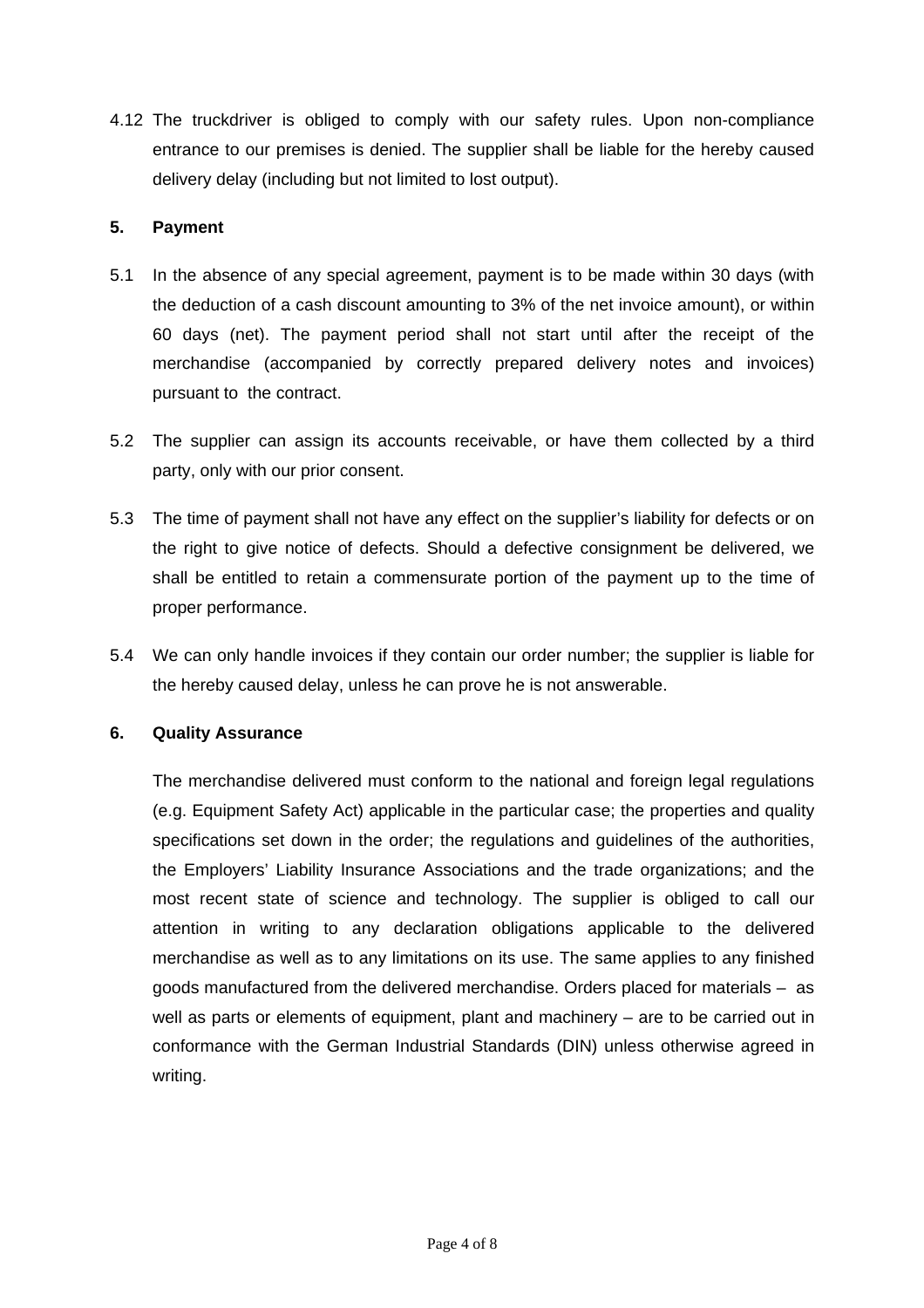4.12 The truckdriver is obliged to comply with our safety rules. Upon non-compliance entrance to our premises is denied. The supplier shall be liable for the hereby caused delivery delay (including but not limited to lost output).

### **5. Payment**

- 5.1 In the absence of any special agreement, payment is to be made within 30 days (with the deduction of a cash discount amounting to 3% of the net invoice amount), or within 60 days (net). The payment period shall not start until after the receipt of the merchandise (accompanied by correctly prepared delivery notes and invoices) pursuant to the contract.
- 5.2 The supplier can assign its accounts receivable, or have them collected by a third party, only with our prior consent.
- 5.3 The time of payment shall not have any effect on the supplier's liability for defects or on the right to give notice of defects. Should a defective consignment be delivered, we shall be entitled to retain a commensurate portion of the payment up to the time of proper performance.
- 5.4 We can only handle invoices if they contain our order number; the supplier is liable for the hereby caused delay, unless he can prove he is not answerable.

# **6. Quality Assurance**

 The merchandise delivered must conform to the national and foreign legal regulations (e.g. Equipment Safety Act) applicable in the particular case; the properties and quality specifications set down in the order; the regulations and guidelines of the authorities, the Employers' Liability Insurance Associations and the trade organizations; and the most recent state of science and technology. The supplier is obliged to call our attention in writing to any declaration obligations applicable to the delivered merchandise as well as to any limitations on its use. The same applies to any finished goods manufactured from the delivered merchandise. Orders placed for materials – as well as parts or elements of equipment, plant and machinery – are to be carried out in conformance with the German Industrial Standards (DIN) unless otherwise agreed in writing.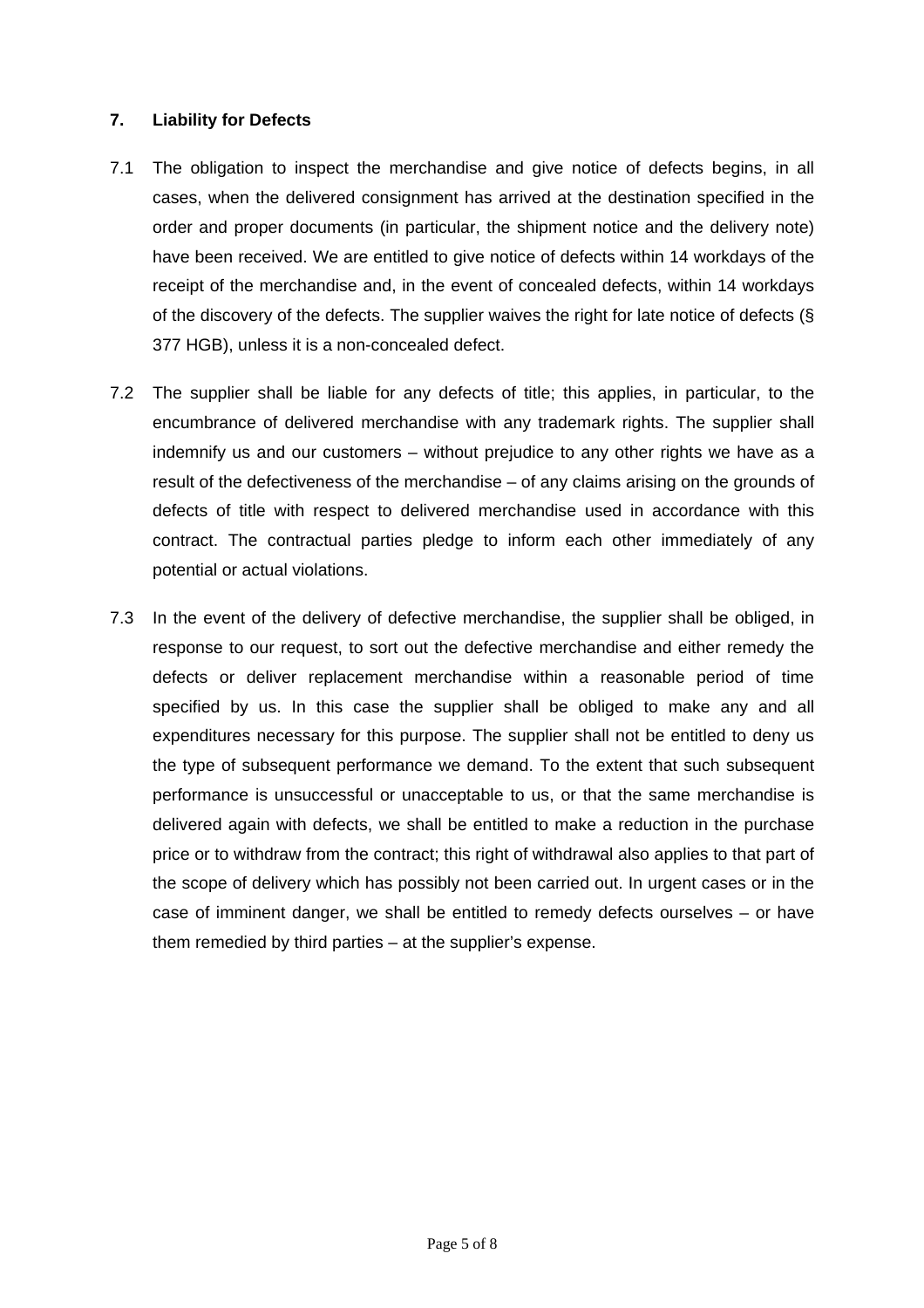### **7. Liability for Defects**

- 7.1 The obligation to inspect the merchandise and give notice of defects begins, in all cases, when the delivered consignment has arrived at the destination specified in the order and proper documents (in particular, the shipment notice and the delivery note) have been received. We are entitled to give notice of defects within 14 workdays of the receipt of the merchandise and, in the event of concealed defects, within 14 workdays of the discovery of the defects. The supplier waives the right for late notice of defects (§ 377 HGB), unless it is a non-concealed defect.
- 7.2 The supplier shall be liable for any defects of title; this applies, in particular, to the encumbrance of delivered merchandise with any trademark rights. The supplier shall indemnify us and our customers – without prejudice to any other rights we have as a result of the defectiveness of the merchandise – of any claims arising on the grounds of defects of title with respect to delivered merchandise used in accordance with this contract. The contractual parties pledge to inform each other immediately of any potential or actual violations.
- 7.3 In the event of the delivery of defective merchandise, the supplier shall be obliged, in response to our request, to sort out the defective merchandise and either remedy the defects or deliver replacement merchandise within a reasonable period of time specified by us. In this case the supplier shall be obliged to make any and all expenditures necessary for this purpose. The supplier shall not be entitled to deny us the type of subsequent performance we demand. To the extent that such subsequent performance is unsuccessful or unacceptable to us, or that the same merchandise is delivered again with defects, we shall be entitled to make a reduction in the purchase price or to withdraw from the contract; this right of withdrawal also applies to that part of the scope of delivery which has possibly not been carried out. In urgent cases or in the case of imminent danger, we shall be entitled to remedy defects ourselves – or have them remedied by third parties – at the supplier's expense.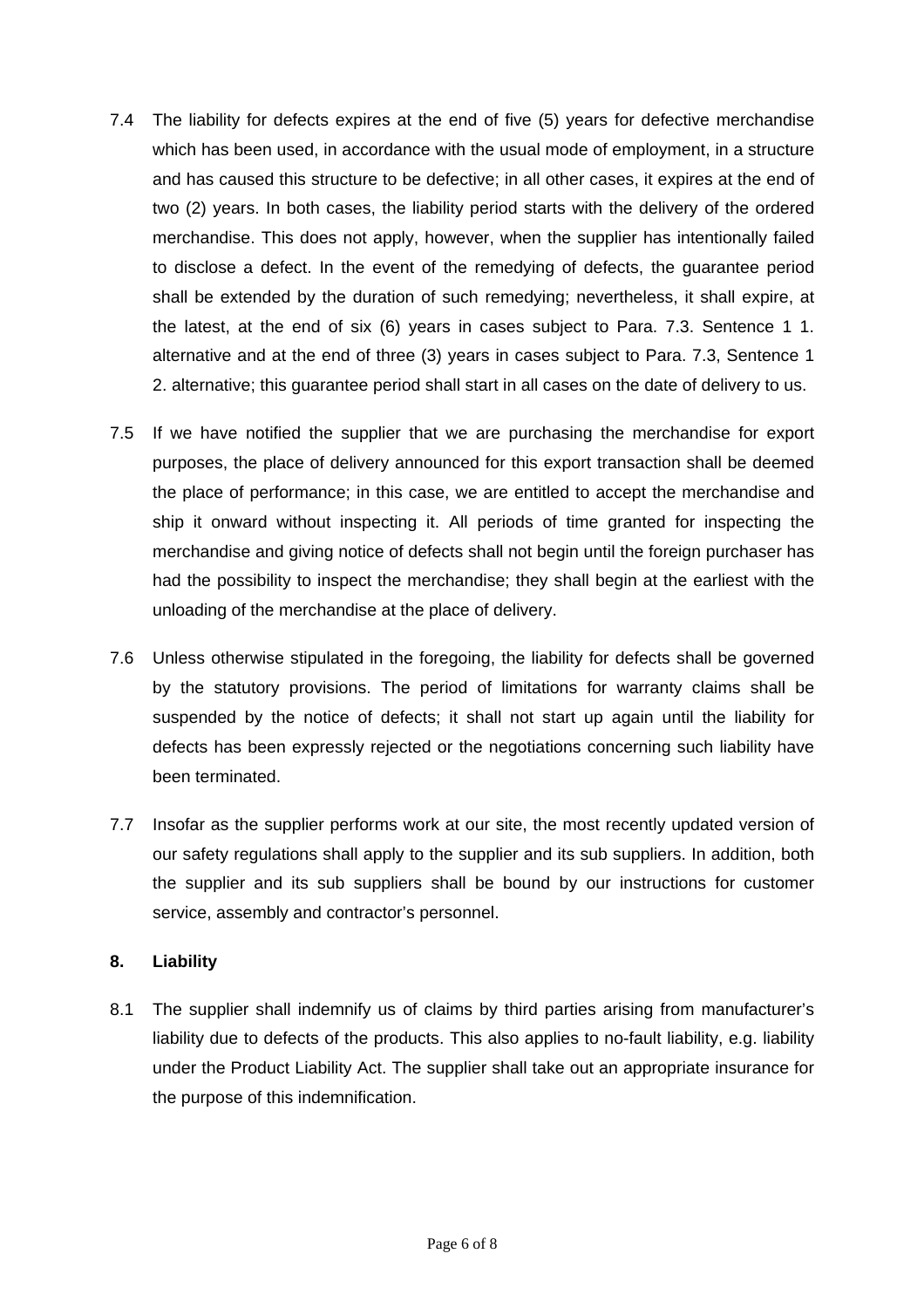- 7.4 The liability for defects expires at the end of five (5) years for defective merchandise which has been used, in accordance with the usual mode of employment, in a structure and has caused this structure to be defective; in all other cases, it expires at the end of two (2) years. In both cases, the liability period starts with the delivery of the ordered merchandise. This does not apply, however, when the supplier has intentionally failed to disclose a defect. In the event of the remedying of defects, the guarantee period shall be extended by the duration of such remedying; nevertheless, it shall expire, at the latest, at the end of six (6) years in cases subject to Para. 7.3. Sentence 1 1. alternative and at the end of three (3) years in cases subject to Para. 7.3, Sentence 1 2. alternative; this guarantee period shall start in all cases on the date of delivery to us.
- 7.5 If we have notified the supplier that we are purchasing the merchandise for export purposes, the place of delivery announced for this export transaction shall be deemed the place of performance; in this case, we are entitled to accept the merchandise and ship it onward without inspecting it. All periods of time granted for inspecting the merchandise and giving notice of defects shall not begin until the foreign purchaser has had the possibility to inspect the merchandise; they shall begin at the earliest with the unloading of the merchandise at the place of delivery.
- 7.6 Unless otherwise stipulated in the foregoing, the liability for defects shall be governed by the statutory provisions. The period of limitations for warranty claims shall be suspended by the notice of defects; it shall not start up again until the liability for defects has been expressly rejected or the negotiations concerning such liability have been terminated.
- 7.7 Insofar as the supplier performs work at our site, the most recently updated version of our safety regulations shall apply to the supplier and its sub suppliers. In addition, both the supplier and its sub suppliers shall be bound by our instructions for customer service, assembly and contractor's personnel.

# **8. Liability**

8.1 The supplier shall indemnify us of claims by third parties arising from manufacturer's liability due to defects of the products. This also applies to no-fault liability, e.g. liability under the Product Liability Act. The supplier shall take out an appropriate insurance for the purpose of this indemnification.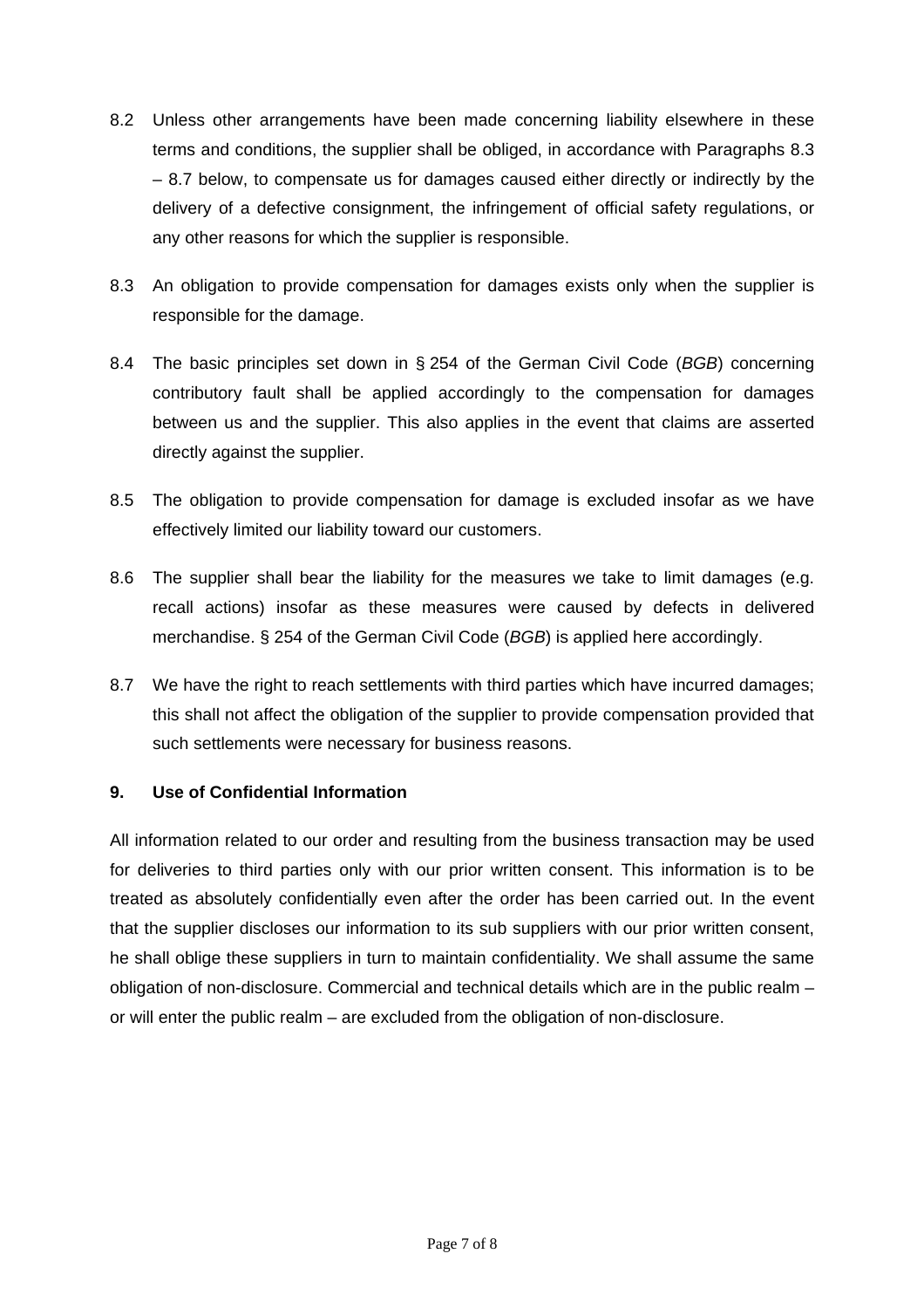- 8.2 Unless other arrangements have been made concerning liability elsewhere in these terms and conditions, the supplier shall be obliged, in accordance with Paragraphs 8.3 – 8.7 below, to compensate us for damages caused either directly or indirectly by the delivery of a defective consignment, the infringement of official safety regulations, or any other reasons for which the supplier is responsible.
- 8.3 An obligation to provide compensation for damages exists only when the supplier is responsible for the damage.
- 8.4 The basic principles set down in § 254 of the German Civil Code (*BGB*) concerning contributory fault shall be applied accordingly to the compensation for damages between us and the supplier. This also applies in the event that claims are asserted directly against the supplier.
- 8.5 The obligation to provide compensation for damage is excluded insofar as we have effectively limited our liability toward our customers.
- 8.6 The supplier shall bear the liability for the measures we take to limit damages (e.g. recall actions) insofar as these measures were caused by defects in delivered merchandise. § 254 of the German Civil Code (*BGB*) is applied here accordingly.
- 8.7 We have the right to reach settlements with third parties which have incurred damages; this shall not affect the obligation of the supplier to provide compensation provided that such settlements were necessary for business reasons.

#### **9. Use of Confidential Information**

All information related to our order and resulting from the business transaction may be used for deliveries to third parties only with our prior written consent. This information is to be treated as absolutely confidentially even after the order has been carried out. In the event that the supplier discloses our information to its sub suppliers with our prior written consent, he shall oblige these suppliers in turn to maintain confidentiality. We shall assume the same obligation of non-disclosure. Commercial and technical details which are in the public realm – or will enter the public realm – are excluded from the obligation of non-disclosure.